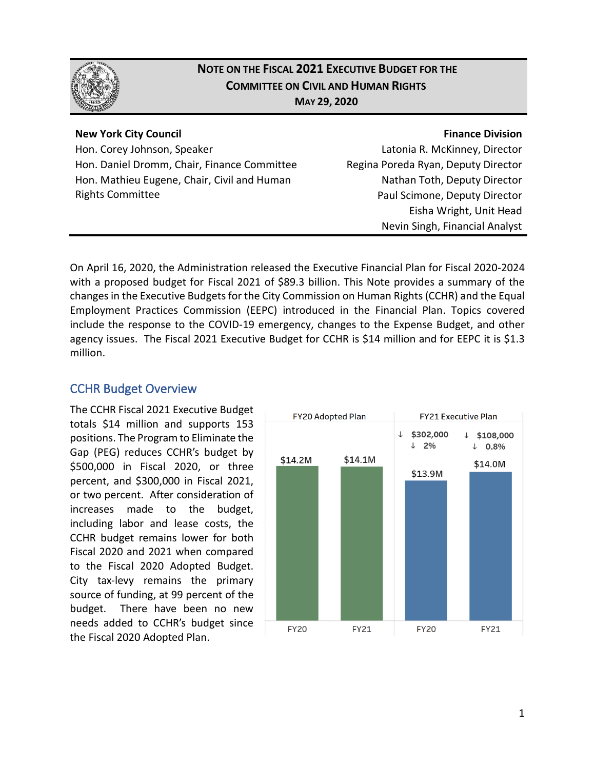

### **NOTE ON THE FISCAL 2021 EXECUTIVE BUDGET FOR THE COMMITTEE ON CIVIL AND HUMAN RIGHTS MAY 29, 2020**

#### **New York City Council**

Hon. Corey Johnson, Speaker Hon. Daniel Dromm, Chair, Finance Committee Hon. Mathieu Eugene, Chair, Civil and Human Rights Committee

#### **Finance Division**

Latonia R. McKinney, Director Regina Poreda Ryan, Deputy Director Nathan Toth, Deputy Director Paul Scimone, Deputy Director Eisha Wright, Unit Head Nevin Singh, Financial Analyst

On April 16, 2020, the Administration released the Executive Financial Plan for Fiscal 2020-2024 with a proposed budget for Fiscal 2021 of \$89.3 billion. This Note provides a summary of the changes in the Executive Budgetsfor the City Commission on Human Rights (CCHR) and the Equal Employment Practices Commission (EEPC) introduced in the Financial Plan. Topics covered include the response to the COVID-19 emergency, changes to the Expense Budget, and other agency issues. The Fiscal 2021 Executive Budget for CCHR is \$14 million and for EEPC it is \$1.3 million.

#### CCHR Budget Overview

The CCHR Fiscal 2021 Executive Budget totals \$14 million and supports 153 positions. The Program to Eliminate the Gap (PEG) reduces CCHR's budget by \$500,000 in Fiscal 2020, or three percent, and \$300,000 in Fiscal 2021, or two percent. After consideration of increases made to the budget, including labor and lease costs, the CCHR budget remains lower for both Fiscal 2020 and 2021 when compared to the Fiscal 2020 Adopted Budget. City tax-levy remains the primary source of funding, at 99 percent of the budget. There have been no new needs added to CCHR's budget since the Fiscal 2020 Adopted Plan.

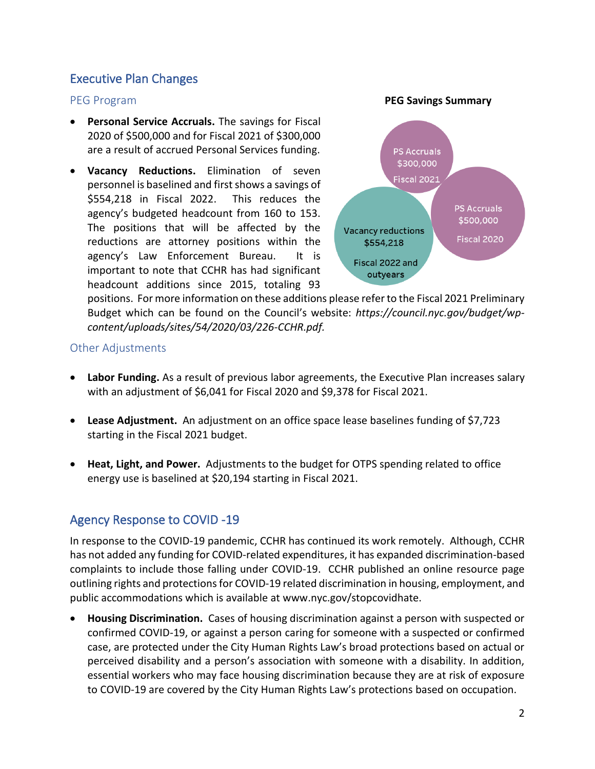#### Executive Plan Changes

- **Personal Service Accruals.** The savings for Fiscal 2020 of \$500,000 and for Fiscal 2021 of \$300,000 are a result of accrued Personal Services funding.
- **Vacancy Reductions.** Elimination of seven personnel is baselined and first shows a savings of \$554,218 in Fiscal 2022. This reduces the agency's budgeted headcount from 160 to 153. The positions that will be affected by the reductions are attorney positions within the agency's Law Enforcement Bureau. It is important to note that CCHR has had significant headcount additions since 2015, totaling 93



positions. For more information on these additions please refer to the Fiscal 2021 Preliminary Budget which can be found on the Council's website: *https://council.nyc.gov/budget/wpcontent/uploads/sites/54/2020/03/226-CCHR.pdf.*

#### Other Adjustments

- **Labor Funding.** As a result of previous labor agreements, the Executive Plan increases salary with an adjustment of \$6,041 for Fiscal 2020 and \$9,378 for Fiscal 2021.
- **Lease Adjustment.** An adjustment on an office space lease baselines funding of \$7,723 starting in the Fiscal 2021 budget.
- **Heat, Light, and Power.** Adjustments to the budget for OTPS spending related to office energy use is baselined at \$20,194 starting in Fiscal 2021.

### Agency Response to COVID -19

In response to the COVID-19 pandemic, CCHR has continued its work remotely. Although, CCHR has not added any funding for COVID-related expenditures, it has expanded discrimination-based complaints to include those falling under COVID-19. CCHR published an online resource page outlining rights and protections for COVID-19 related discrimination in housing, employment, and public accommodations which is available at www.nyc.gov/stopcovidhate.

• **Housing Discrimination.** Cases of housing discrimination against a person with suspected or confirmed COVID-19, or against a person caring for someone with a suspected or confirmed case, are protected under the City Human Rights Law's broad protections based on actual or perceived disability and a person's association with someone with a disability. In addition, essential workers who may face housing discrimination because they are at risk of exposure to COVID-19 are covered by the City Human Rights Law's protections based on occupation.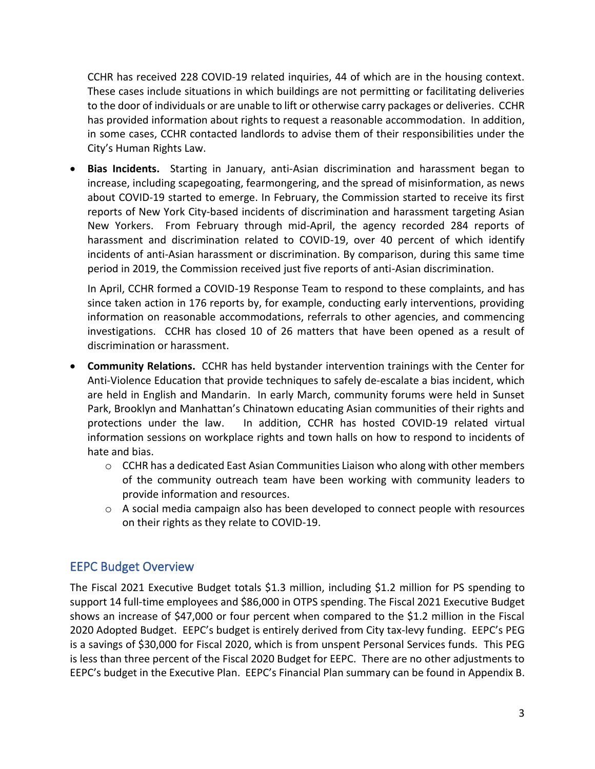CCHR has received 228 COVID-19 related inquiries, 44 of which are in the housing context. These cases include situations in which buildings are not permitting or facilitating deliveries to the door of individuals or are unable to lift or otherwise carry packages or deliveries. CCHR has provided information about rights to request a reasonable accommodation. In addition, in some cases, CCHR contacted landlords to advise them of their responsibilities under the City's Human Rights Law.

• **Bias Incidents.** Starting in January, anti-Asian discrimination and harassment began to increase, including scapegoating, fearmongering, and the spread of misinformation, as news about COVID-19 started to emerge. In February, the Commission started to receive its first reports of New York City-based incidents of discrimination and harassment targeting Asian New Yorkers. From February through mid-April, the agency recorded 284 reports of harassment and discrimination related to COVID-19, over 40 percent of which identify incidents of anti-Asian harassment or discrimination. By comparison, during this same time period in 2019, the Commission received just five reports of anti-Asian discrimination.

In April, CCHR formed a COVID-19 Response Team to respond to these complaints, and has since taken action in 176 reports by, for example, conducting early interventions, providing information on reasonable accommodations, referrals to other agencies, and commencing investigations. CCHR has closed 10 of 26 matters that have been opened as a result of discrimination or harassment.

- **Community Relations.** CCHR has held bystander intervention trainings with the Center for Anti-Violence Education that provide techniques to safely de-escalate a bias incident, which are held in English and Mandarin. In early March, community forums were held in Sunset Park, Brooklyn and Manhattan's Chinatown educating Asian communities of their rights and protections under the law. In addition, CCHR has hosted COVID-19 related virtual information sessions on workplace rights and town halls on how to respond to incidents of hate and bias.
	- o CCHR has a dedicated East Asian Communities Liaison who along with other members of the community outreach team have been working with community leaders to provide information and resources.
	- o A social media campaign also has been developed to connect people with resources on their rights as they relate to COVID-19.

### EEPC Budget Overview

The Fiscal 2021 Executive Budget totals \$1.3 million, including \$1.2 million for PS spending to support 14 full-time employees and \$86,000 in OTPS spending. The Fiscal 2021 Executive Budget shows an increase of \$47,000 or four percent when compared to the \$1.2 million in the Fiscal 2020 Adopted Budget. EEPC's budget is entirely derived from City tax-levy funding. EEPC's PEG is a savings of \$30,000 for Fiscal 2020, which is from unspent Personal Services funds. This PEG is less than three percent of the Fiscal 2020 Budget for EEPC. There are no other adjustments to EEPC's budget in the Executive Plan. EEPC's Financial Plan summary can be found in Appendix B.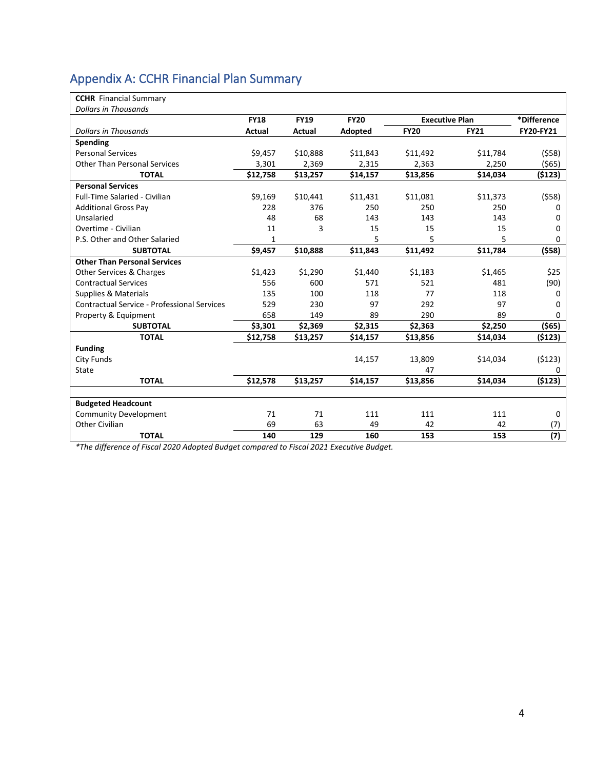## Appendix A: CCHR Financial Plan Summary

| <b>CCHR</b> Financial Summary               |              |               |             |                       |             |                  |
|---------------------------------------------|--------------|---------------|-------------|-----------------------|-------------|------------------|
| <b>Dollars in Thousands</b>                 |              |               |             |                       |             |                  |
|                                             | <b>FY18</b>  | <b>FY19</b>   | <b>FY20</b> | <b>Executive Plan</b> |             | *Difference      |
| <b>Dollars in Thousands</b>                 | Actual       | <b>Actual</b> | Adopted     | <b>FY20</b>           | <b>FY21</b> | <b>FY20-FY21</b> |
| Spending                                    |              |               |             |                       |             |                  |
| <b>Personal Services</b>                    | \$9,457      | \$10,888      | \$11,843    | \$11,492              | \$11,784    | (558)            |
| <b>Other Than Personal Services</b>         | 3,301        | 2,369         | 2,315       | 2,363                 | 2,250       | (565)            |
| <b>TOTAL</b>                                | \$12,758     | \$13,257      | \$14,157    | \$13,856              | \$14,034    | (\$123)          |
| <b>Personal Services</b>                    |              |               |             |                       |             |                  |
| Full-Time Salaried - Civilian               | \$9,169      | \$10,441      | \$11,431    | \$11,081              | \$11,373    | (558)            |
| <b>Additional Gross Pay</b>                 | 228          | 376           | 250         | 250                   | 250         | 0                |
| Unsalaried                                  | 48           | 68            | 143         | 143                   | 143         | 0                |
| Overtime - Civilian                         | 11           | 3             | 15          | 15                    | 15          | 0                |
| P.S. Other and Other Salaried               | $\mathbf{1}$ |               | 5           | 5                     | 5           | 0                |
| <b>SUBTOTAL</b>                             | \$9,457      | \$10,888      | \$11,843    | \$11,492              | \$11,784    | (558)            |
| <b>Other Than Personal Services</b>         |              |               |             |                       |             |                  |
| Other Services & Charges                    | \$1,423      | \$1,290       | \$1,440     | \$1,183               | \$1,465     | \$25             |
| <b>Contractual Services</b>                 | 556          | 600           | 571         | 521                   | 481         | (90)             |
| Supplies & Materials                        | 135          | 100           | 118         | 77                    | 118         | 0                |
| Contractual Service - Professional Services | 529          | 230           | 97          | 292                   | 97          | 0                |
| Property & Equipment                        | 658          | 149           | 89          | 290                   | 89          | 0                |
| <b>SUBTOTAL</b>                             | \$3,301      | \$2,369       | \$2,315     | \$2,363               | \$2,250     | $($ \$65)        |
| <b>TOTAL</b>                                | \$12,758     | \$13,257      | \$14,157    | \$13,856              | \$14,034    | (\$123)          |
| <b>Funding</b>                              |              |               |             |                       |             |                  |
| City Funds                                  |              |               | 14,157      | 13,809                | \$14,034    | (5123)           |
| State                                       |              |               |             | 47                    |             | 0                |
| <b>TOTAL</b>                                | \$12,578     | \$13,257      | \$14,157    | \$13,856              | \$14,034    | (5123)           |
|                                             |              |               |             |                       |             |                  |
| <b>Budgeted Headcount</b>                   |              |               |             |                       |             |                  |
| Community Development                       | 71           | 71            | 111         | 111                   | 111         | 0                |
| Other Civilian                              | 69           | 63            | 49          | 42                    | 42          | (7)              |
| <b>TOTAL</b>                                | 140          | 129           | 160         | 153                   | 153         | (7)              |

*\*The difference of Fiscal 2020 Adopted Budget compared to Fiscal 2021 Executive Budget.*